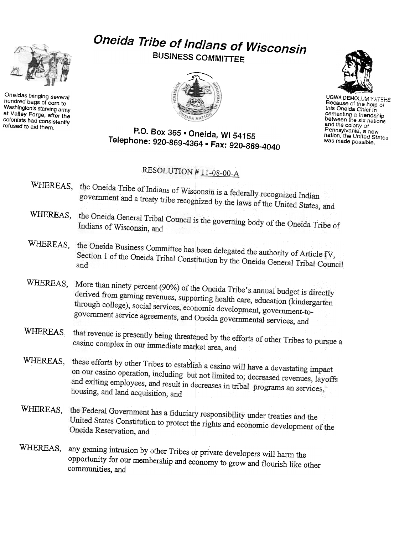

Oneidas bringing several hundred bags of corn to Washington's starving army at Valley Forge, after the colonists had consistently refused to aid them.

## Oneida Tribe of Indians of Wisconsin BUSINESS COMMITTEE





UGWA DEMOLUM YATEHE Because of the help of this Oneida Chief in cementing a friendship<br>between the six nation and the coiony of Pennsylvania, a new nation, the United States was made possible.

## P.O. Box 365 . Oneida, WI 54155 Telephone: 920-869-4364 · Fax: 920-869-4040

## RESOLUTION #11-08-00-A

- WHEREAS, the Oneida Tribe of Indians of Wisconsin is a federally recognized Indian government and a treaty tribe recognized by the laws of the United States, and
- WHEREAS, the Oneida General Tribal Council is the governing body of the Oneida Tribe of Indians of Wisconsin, and
- WHEREAS, the Oneida Business Committee has been delegated the authority of Article IV, Section 1 of the Oneida Tribal Constitution by the Oneida General Tribal Council,<br>and
- WHEREAS, More than ninety percent (90%) of the Oneida Tribe's annual budget is directly derived from gaming revenues, supporting health care, education (kindergarten<br>through college), social services economial through college), social services, economic development, government-togovernment service agreements, and Oneida governmental services, and
- WHEREAS that revenue is presently being threatened by the efforts of other Tribes to pursue a casino complex in our immediate market area. casino complex in our immediate market area, and
- WHEREAS, these efforts by other Tribes to establish a casino will have a devastating impact<br>on our casino operation including  $\frac{1}{2}$ on our casino operation, including but not limited to; decreased revenues, layoffs<br>and exiting employees and result in decreased in the state of the state of the state of the state of the state of the state of the state of and exiting employees, and result in decreases in tribal programs an services, housing, and land acquisition, and
- WHEREAS, the Federal Government has a fiduciary responsibility under treaties and the United States Constitution to protect the rights and economic development of the<br>Oneida Reservation and Oneida Reservation, and
- WHEREAS, any gaming intrusion by other Tribes or private developers will harm the opportunity for our membership and economy to grow and flourish like other communities, and